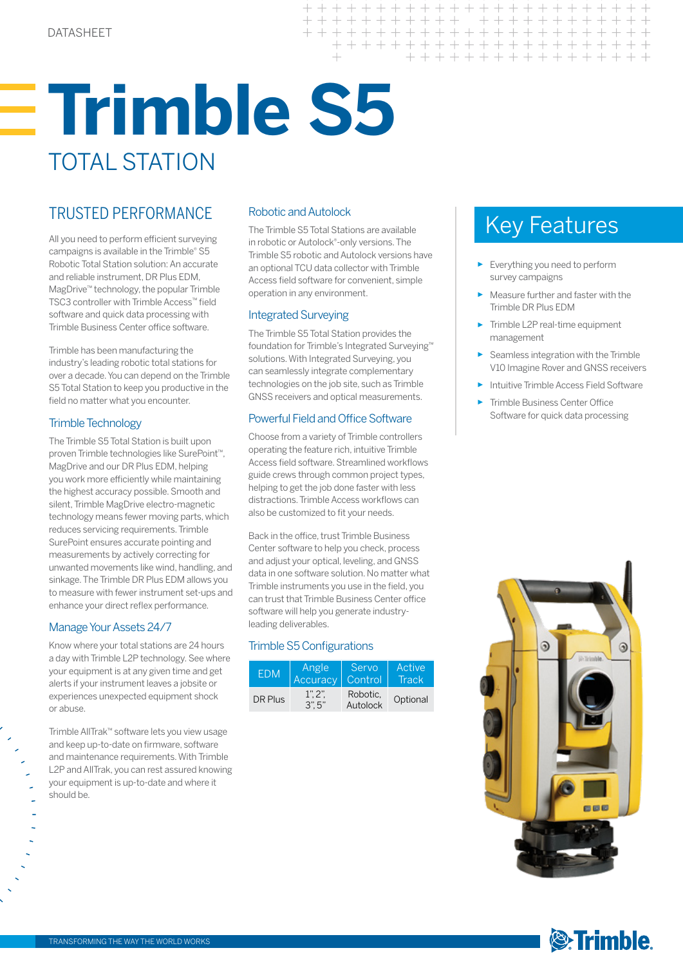## **Trimble S5** TOTAL STATION

All you need to perform efficient surveying campaigns is available in the Trimble® S5 Robotic Total Station solution: An accurate and reliable instrument, DR Plus EDM, MagDrive™ technology, the popular Trimble TSC3 controller with Trimble Access™ field software and quick data processing with Trimble Business Center office software.

Trimble has been manufacturing the industry's leading robotic total stations for over a decade. You can depend on the Trimble S5 Total Station to keep you productive in the field no matter what you encounter.

### Trimble Technology

The Trimble S5 Total Station is built upon proven Trimble technologies like SurePoint™, MagDrive and our DR Plus EDM, helping you work more efficiently while maintaining the highest accuracy possible. Smooth and silent, Trimble MagDrive electro-magnetic technology means fewer moving parts, which reduces servicing requirements. Trimble SurePoint ensures accurate pointing and measurements by actively correcting for unwanted movements like wind, handling, and sinkage. The Trimble DR Plus EDM allows you to measure with fewer instrument set-ups and enhance your direct reflex performance.

### Manage Your Assets 24/7

Know where your total stations are 24 hours a day with Trimble L2P technology. See where your equipment is at any given time and get alerts if your instrument leaves a jobsite or experiences unexpected equipment shock or abuse.

Trimble AllTrak™ software lets you view usage and keep up-to-date on firmware, software and maintenance requirements. With Trimble L2P and AllTrak, you can rest assured knowing your equipment is up-to-date and where it should be.

### Robotic and Autolock

The Trimble S5 Total Stations are available in robotic or Autolock®-only versions. The Trimble S5 robotic and Autolock versions have an optional TCU data collector with Trimble Access field software for convenient, simple operation in any environment.

 $+ + +$ 

 $\pm$ 

### Integrated Surveying

The Trimble S5 Total Station provides the foundation for Trimble's Integrated Surveying™ solutions. With Integrated Surveying, you can seamlessly integrate complementary technologies on the job site, such as Trimble GNSS receivers and optical measurements.

### Powerful Field and Office Software

Choose from a variety of Trimble controllers operating the feature rich, intuitive Trimble Access field software. Streamlined workflows guide crews through common project types, helping to get the job done faster with less distractions. Trimble Access workflows can also be customized to fit your needs.

Back in the office, trust Trimble Business Center software to help you check, process and adjust your optical, leveling, and GNSS data in one software solution. No matter what Trimble instruments you use in the field, you can trust that Trimble Business Center office software will help you generate industryleading deliverables.

### Trimble S5 Configurations

| <b>FDM</b> | Angle        | <b>Servo</b>         | Active   |  |
|------------|--------------|----------------------|----------|--|
|            | Accuracy     | Control              | Track    |  |
| DR Plus    | 1"2"<br>3"5" | Robotic.<br>Autolock | Optional |  |

## TRUSTED PERFORMANCE Robotic and Autolock<br>The Trimble S5 Total Stations are available Key Features

 $+$ + + + + + + + + + + + + + + + + + + + +

+ + + + + + + + + + + + + + + +

+ + + + + + + + + + + + + + +

- ► Everything you need to perform survey campaigns
- Measure further and faster with the Trimble DR Plus EDM
- Trimble L2P real-time equipment management
- Seamless integration with the Trimble V10 Imagine Rover and GNSS receivers
- **Intuitive Trimble Access Field Software**
- Trimble Business Center Office Software for quick data processing